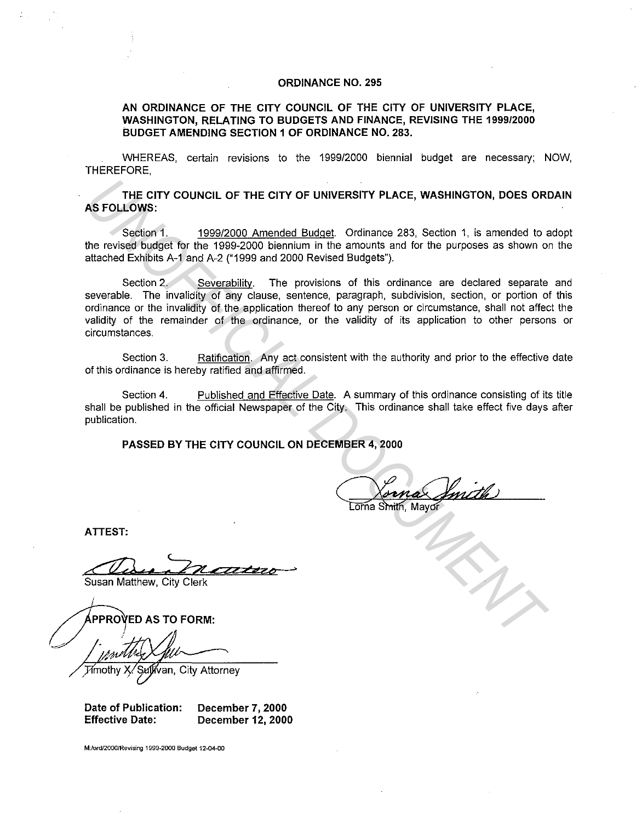## **ORDINANCE NO. 295**

**AN ORDINANCE OF THE CITY COUNCIL OF THE CITY OF UNIVERSITY PLACE, WASHINGTON, RELATING TO BUDGETS AND FINANCE, REVISING THE 1999/2000 BUDGET AMENDING SECTION 1 OF ORDINANCE NO. 283.** 

WHEREAS, certain revisions to the 1999/2000 biennial budget are necessary; NOW, THEREFORE,

**THE CITY COUNCIL OF THE CITY OF UNIVERSITY PLACE, WASHINGTON, DOES ORDAIN AS FOLLOWS:** 

Section 1. 1999/2000 Amended Budget. Ordinance 283, Section 1, is amended to adopt the revised budget for the 1999-2000 biennium in the amounts and for the purposes as shown on the attached Exhibits A-1 and A-2 ("1999 and 2000 Revised Budgets").

Section 2. Severability. The provisions of this ordinance are declared separate and severable. The invalidity of any clause, sentence, paragraph, subdivision, section, or portion of this ordinance or the invalidity of the application thereof to any person or circumstance, shall not affect the validity of the remainder of the ordinance, or the validity of its application to other persons or circumstances. **THE CITY COUNCIL OF THE CITY OF UNIVERSITY PLACE, WASHINGTON, DOES ORIGINATIONS:**<br>
Section 1. 1999/2000 Amended Budget Ordinance 283, Section 1, is amended to state by the bythe comparison of this comparison of the purpos

Section 3. Ratification. Any act consistent with the authority and prior to the effective date of this ordinance is hereby ratified and affirmed.

Section 4. Published and Effective Date. A summary of this ordinance consisting of its title shall be published in the official Newspaper of the City. This ordinance shall take effect five days after publication.

**PASSED BY THE CITY COUNCIL ON DECEMBER 4, 2000** 

**ATTEST:** 

c:<:7ZJ *e* **<sup>c</sup>::-ZZ,, z2 z">** *e¢--.:>* 

Susan Matthew, City Clerk

van, City Attorney

**Date of Publication: December 7, 2000 Effective Date: December 12, 2000** 

**M:lordf2000!Revising 1999-2000 Budget 12-04.00**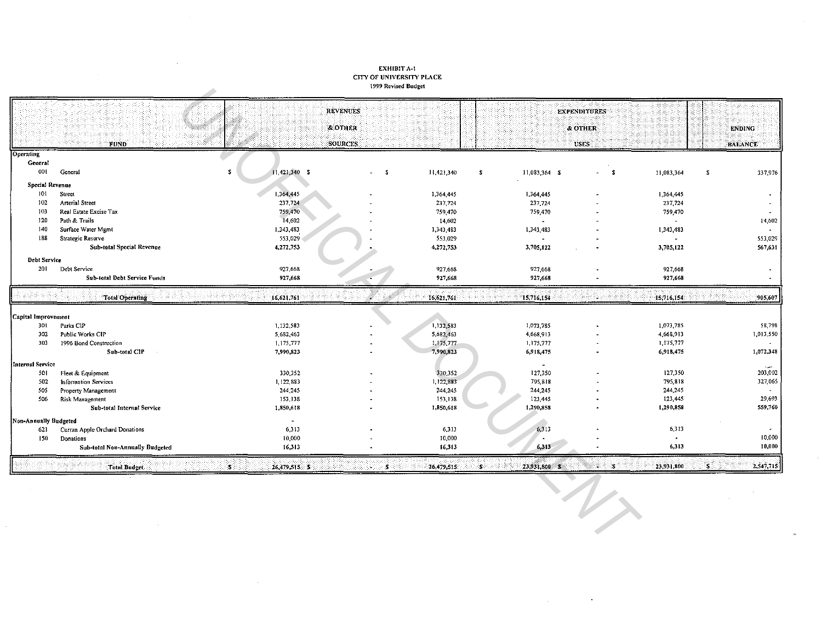## EXHIBIT A-1<br>CITY OF UNIVERSITY PLACE 1999 Revised Budget

 $\mathcal{A}$ 

 $\mathcal{L}$ 

|                        |                                                  | <b>REVENUES</b>       |      |            |                               | <b>EXPENDITURES</b> |                          |                |                          |
|------------------------|--------------------------------------------------|-----------------------|------|------------|-------------------------------|---------------------|--------------------------|----------------|--------------------------|
|                        |                                                  | & OTHER               |      |            |                               | & OTHER             |                          | <b>ENDING</b>  |                          |
|                        | <b>FUND</b>                                      | <b>SOURCES</b>        |      |            |                               | USES:               |                          | <b>BALANCE</b> |                          |
| <b>Operating</b>       |                                                  |                       |      |            |                               |                     |                          |                |                          |
| General                |                                                  |                       |      |            |                               |                     |                          |                |                          |
| 001                    | General                                          | $11,421,340$ \$<br>s. | $-5$ | 11,421,340 | 11,083,364 \$<br>$\mathbf{s}$ | $-3$                | 11,083,364               | $\mathbf{S}$   | 337,976                  |
| <b>Special Revenue</b> |                                                  |                       |      |            |                               |                     |                          |                |                          |
| 101                    | Street                                           | 1,364,445             |      | 1,364,445  | 1.364,445                     |                     | 1,364,445                |                |                          |
| 102                    | <b>Arterial Street</b>                           | 237,724               |      | 237,724    | 237,724                       |                     | 237,724                  |                |                          |
| 103                    | Real Estate Excise Tax                           | 759,470               |      | 759,470    | 759,470                       |                     | 759,470                  |                |                          |
| 120                    | Path & Trails                                    | 14,602                |      | 14,602     | $\overline{\phantom{a}}$      |                     | $\blacksquare$           |                | 14,602                   |
| 140                    | Surface Water Mgmt                               | 1,343,483             |      | 1,343,483  | 1,343,483                     |                     | 1,343,483                |                | $\overline{\phantom{a}}$ |
| 188                    | Strategic Reserve                                | 553,029               |      | 553,029    | $\blacksquare$                |                     | $\overline{\phantom{a}}$ |                | 553,029                  |
|                        | <b>Sub-total Special Revenue</b>                 | 4,272,753             |      | 4,272,753  | 3.705,122                     |                     | 3.705,122                |                | 567,631                  |
| <b>Debt Service</b>    |                                                  |                       |      |            |                               |                     |                          |                |                          |
| 201                    | Debt Service                                     | 927,668               |      | 927,668    | 927,668                       |                     | 927,668                  |                |                          |
|                        | <b>Sub-total Debt Service Funds</b>              | 927,668               |      | 927,668    | 927,668                       |                     | 927,668                  |                |                          |
|                        |                                                  |                       |      |            |                               |                     |                          |                |                          |
|                        | Total Operating                                  | 16,621,761            |      |            |                               |                     | 15,716,154               |                | 905,607                  |
|                        |                                                  |                       |      | 16.621,761 | 15,716,154                    |                     |                          |                |                          |
| Capital Improvement    |                                                  |                       |      |            |                               |                     |                          |                |                          |
| 301                    | Parks CIP                                        | 1,132,583             |      | 1,132,583  | 1,073,785                     |                     | 1,073,785                |                | 58,798                   |
| 302                    | Public Works CIP                                 | 5,682,463             |      | 5,682,463  | 4,668,913                     |                     | 4,668,913                |                | 1,013,550                |
| 303                    | 1996 Bond Construction                           | 1,175,777             |      | 1,175,777  | 1,175,777                     |                     | 1,175,777                |                |                          |
|                        | Sub-total CIP                                    | 7,990,823             |      | 7,990,823  | 6,918,475                     |                     | 6,918,475                |                | 1,072,348                |
| Internal Service       |                                                  |                       |      |            | $\overline{\phantom{a}}$      |                     |                          |                |                          |
| 50                     |                                                  | 330,352               |      | 330,352    | 127,350                       |                     | 127,350                  |                |                          |
| 502                    | Fleet & Equipment<br><b>Information Services</b> | 1,122,883             |      | 1,122,883  | 795,818                       |                     | 795,818                  |                | 203,002<br>327,065       |
| 505                    |                                                  | 244,245               |      | 244,245    |                               |                     | 244,245                  |                |                          |
| 506                    | Property Management<br>Risk Management           | 153,138               |      | 153,138    | 244,245<br>123,445            |                     | 123,445                  |                | 29,693                   |
|                        | Sub-total Internal Service                       | 1,850,618             |      | 1,850,618  | 1,290,858                     |                     | 1,290,858                |                | 559,760                  |
| Non-Annually Budgeted  |                                                  | $\sim$                |      |            |                               |                     |                          |                |                          |
| 621                    | Curran Apple Orchard Donations                   | 6,313                 |      | 6,313      | 6,313                         |                     | 6,313                    |                |                          |
| 150                    | Donations                                        | 10,000                |      | 10,000     |                               |                     | $\bullet$                |                | 10,000                   |
|                        | <b>Sub-total Non-Annually Budgeted</b>           | 16,313                |      | 16,313     | 6,313                         |                     | 6,313                    |                | 10,000                   |

 $\sim$ 

 $\mathbf{r}$